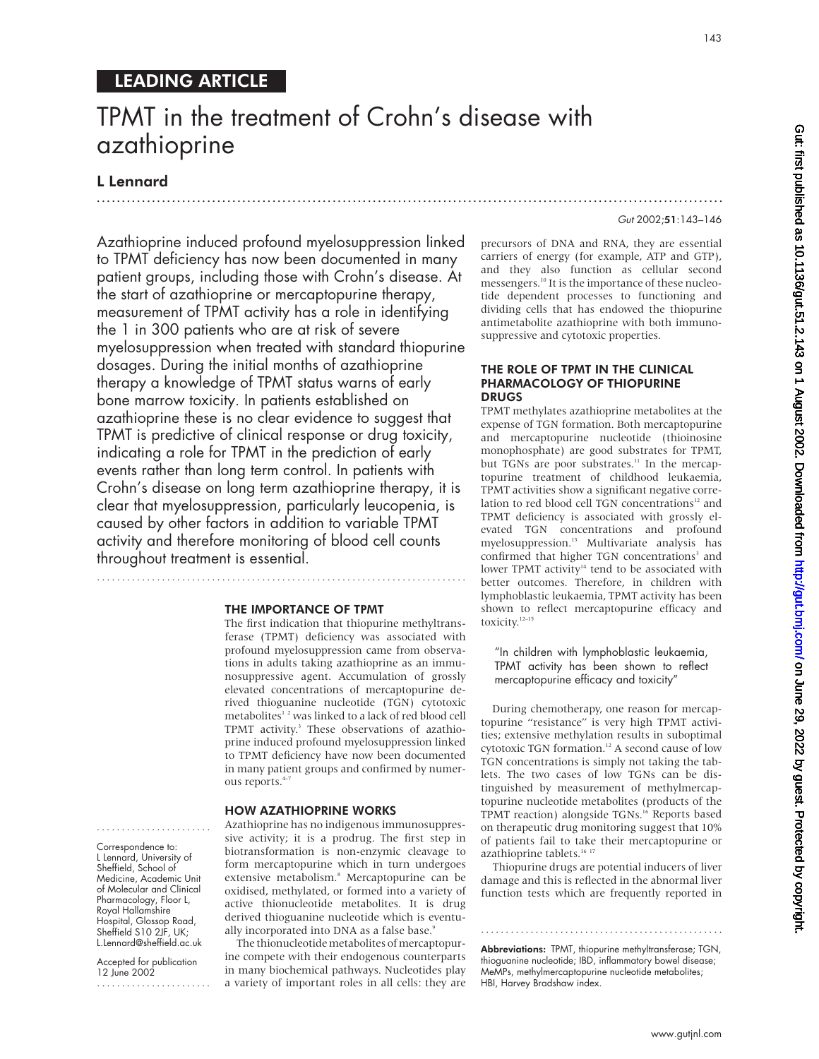# LEADING ARTICLE

# TPMT in the treatment of Crohn's disease with azathioprine

.............................................................................................................................

# L Lennard

Azathioprine induced profound myelosuppression linked to TPMT deficiency has now been documented in many patient groups, including those with Crohn's disease. At the start of azathioprine or mercaptopurine therapy, measurement of TPMT activity has a role in identifying the 1 in 300 patients who are at risk of severe myelosuppression when treated with standard thiopurine dosages. During the initial months of azathioprine therapy a knowledge of TPMT status warns of early bone marrow toxicity. In patients established on azathioprine these is no clear evidence to suggest that TPMT is predictive of clinical response or drug toxicity, indicating a role for TPMT in the prediction of early events rather than long term control. In patients with Crohn's disease on long term azathioprine therapy, it is clear that myelosuppression, particularly leucopenia, is caused by other factors in addition to variable TPMT activity and therefore monitoring of blood cell counts throughout treatment is essential.

#### THE IMPORTANCE OF TPMT

..........................................................................

The first indication that thiopurine methyltransferase (TPMT) deficiency was associated with profound myelosuppression came from observations in adults taking azathioprine as an immunosuppressive agent. Accumulation of grossly elevated concentrations of mercaptopurine derived thioguanine nucleotide (TGN) cytotoxic metabolites<sup>12</sup> was linked to a lack of red blood cell TPMT activity.<sup>3</sup> These observations of azathioprine induced profound myelosuppression linked to TPMT deficiency have now been documented in many patient groups and confirmed by numerous reports.<sup>4-7</sup>

#### HOW AZATHIOPRINE WORKS

Azathioprine has no indigenous immunosuppressive activity; it is a prodrug. The first step in biotransformation is non-enzymic cleavage to form mercaptopurine which in turn undergoes extensive metabolism.<sup>8</sup> Mercaptopurine can be oxidised, methylated, or formed into a variety of active thionucleotide metabolites. It is drug derived thioguanine nucleotide which is eventually incorporated into DNA as a false base.<sup>9</sup>

The thionucleotide metabolites of mercaptopurine compete with their endogenous counterparts in many biochemical pathways. Nucleotides play a variety of important roles in all cells: they are

precursors of DNA and RNA, they are essential carriers of energy (for example, ATP and GTP), and they also function as cellular second messengers.<sup>10</sup> It is the importance of these nucleotide dependent processes to functioning and dividing cells that has endowed the thiopurine antimetabolite azathioprine with both immunosuppressive and cytotoxic properties.

#### THE ROLE OF TPMT IN THE CLINICAL PHARMACOLOGY OF THIOPURINE DRUGS

TPMT methylates azathioprine metabolites at the expense of TGN formation. Both mercaptopurine and mercaptopurine nucleotide (thioinosine monophosphate) are good substrates for TPMT, but TGNs are poor substrates.<sup>11</sup> In the mercaptopurine treatment of childhood leukaemia, TPMT activities show a significant negative correlation to red blood cell TGN concentrations $12$  and TPMT deficiency is associated with grossly elevated TGN concentrations and profound myelosuppression.<sup>13</sup> Multivariate analysis has confirmed that higher TGN concentrations<sup>3</sup> and lower TPMT activity $14$  tend to be associated with better outcomes. Therefore, in children with lymphoblastic leukaemia, TPMT activity has been shown to reflect mercaptopurine efficacy and toxicity.<sup>12–15</sup>

"In children with lymphoblastic leukaemia, TPMT activity has been shown to reflect mercaptopurine efficacy and toxicity"

During chemotherapy, one reason for mercaptopurine "resistance" is very high TPMT activities; extensive methylation results in suboptimal cytotoxic TGN formation.<sup>12</sup> A second cause of low TGN concentrations is simply not taking the tablets. The two cases of low TGNs can be distinguished by measurement of methylmercaptopurine nucleotide metabolites (products of the TPMT reaction) alongside TGNs.<sup>16</sup> Reports based on therapeutic drug monitoring suggest that 10% of patients fail to take their mercaptopurine or azathioprine tablets.<sup>16 17</sup>

Thiopurine drugs are potential inducers of liver damage and this is reflected in the abnormal liver function tests which are frequently reported in

Abbreviations: TPMT, thiopurine methyltransferase; TGN, thioguanine nucleotide; IBD, inflammatory bowel disease; MeMPs, methylmercaptopurine nucleotide metabolites; HBI, Harvey Bradshaw index.

.................................................

Gut: first published as 10.1136/gut.51.2.143 on 1 August 2002. Downloaded from http://gut.bmj.com/ on June 29, 2022 by guest. Protected by copyright on June 29, 2022 by guest. Protected by copyright. <http://gut.bmj.com/> Gut: first published as 10.1136/gut.51.2.143 on 1 August 2002. Downloaded from

Gut 2002;51:143–146

L Lennard, University of Sheffield, School of Medicine, Academic Unit of Molecular and Clinical Pharmacology, Floor L, Royal Hallamshire Hospital, Glossop Road, Sheffield S10 2JF, UK; L.Lennard@sheffield.ac.uk

....................... Correspondence to:

Accepted for publication 12 June 2002

.......................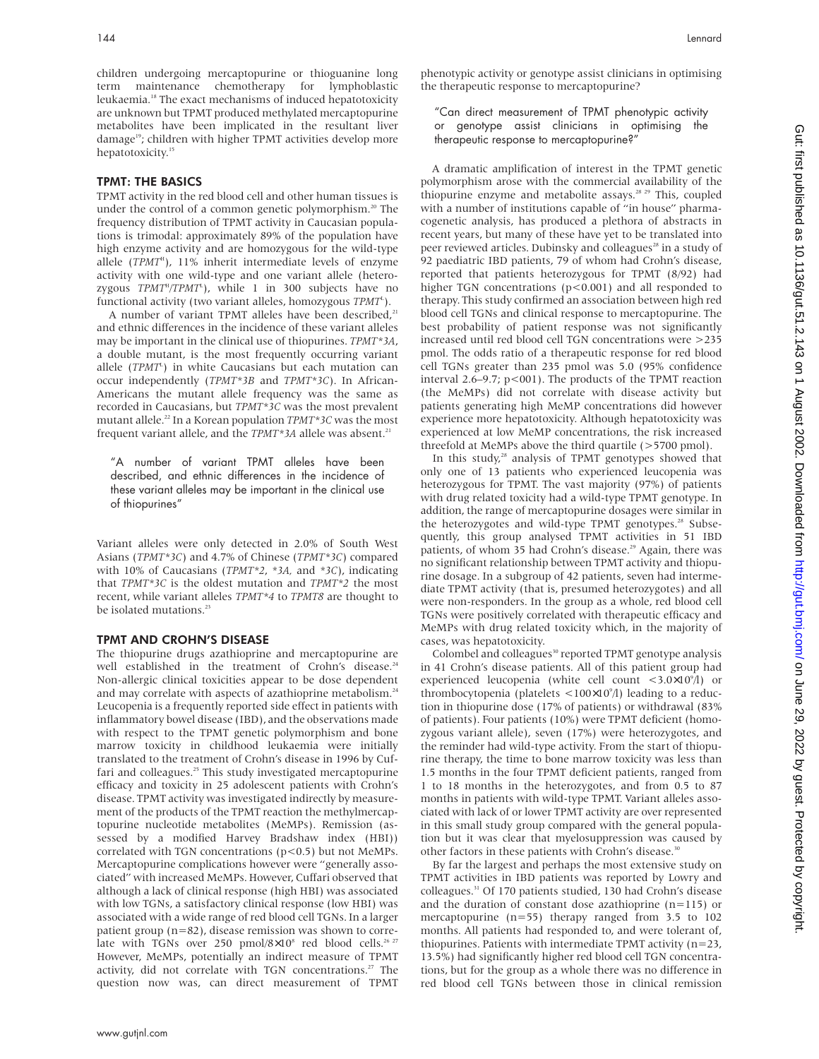children undergoing mercaptopurine or thioguanine long term maintenance chemotherapy for lymphoblastic leukaemia.18 The exact mechanisms of induced hepatotoxicity are unknown but TPMT produced methylated mercaptopurine metabolites have been implicated in the resultant liver damage<sup>19</sup>; children with higher TPMT activities develop more hepatotoxicity.<sup>15</sup>

# TPMT: THE BASICS

TPMT activity in the red blood cell and other human tissues is under the control of a common genetic polymorphism.<sup>20</sup> The frequency distribution of TPMT activity in Caucasian populations is trimodal: approximately 89% of the population have high enzyme activity and are homozygous for the wild-type allele (*TPMT<sup>H</sup>*), 11% inherit intermediate levels of enzyme activity with one wild-type and one variant allele (heterozygous *TPMT<sup>H</sup>/TPMT<sup>L</sup>*), while 1 in 300 subjects have no functional activity (two variant alleles, homozygous *TPMT*<sup>L</sup>).

A number of variant TPMT alleles have been described,<sup>21</sup> and ethnic differences in the incidence of these variant alleles may be important in the clinical use of thiopurines. *TPMT\*3A*, a double mutant, is the most frequently occurring variant allele (*TPMT<sup>L</sup>*) in white Caucasians but each mutation can occur independently (*TPMT\*3B* and *TPMT\*3C*). In African-Americans the mutant allele frequency was the same as recorded in Caucasians, but *TPMT\*3C* was the most prevalent mutant allele.<sup>22</sup> In a Korean population *TPMT\*3C* was the most frequent variant allele, and the *TPMT\*3A* allele was absent.<sup>21</sup>

"A number of variant TPMT alleles have been described, and ethnic differences in the incidence of these variant alleles may be important in the clinical use of thiopurines"

Variant alleles were only detected in 2.0% of South West Asians (*TPMT\*3C*) and 4.7% of Chinese (*TPMT\*3C*) compared with 10% of Caucasians (*TPMT\*2*, *\*3A,* and *\*3C*), indicating that *TPMT\*3C* is the oldest mutation and *TPMT\*2* the most recent, while variant alleles *TPMT\*4* to *TPMT8* are thought to be isolated mutations.<sup>23</sup>

#### TPMT AND CROHN'S DISEASE

The thiopurine drugs azathioprine and mercaptopurine are well established in the treatment of Crohn's disease.<sup>24</sup> Non-allergic clinical toxicities appear to be dose dependent and may correlate with aspects of azathioprine metabolism.<sup>24</sup> Leucopenia is a frequently reported side effect in patients with inflammatory bowel disease (IBD), and the observations made with respect to the TPMT genetic polymorphism and bone marrow toxicity in childhood leukaemia were initially translated to the treatment of Crohn's disease in 1996 by Cuffari and colleagues.<sup>25</sup> This study investigated mercaptopurine efficacy and toxicity in 25 adolescent patients with Crohn's disease. TPMT activity was investigated indirectly by measurement of the products of the TPMT reaction the methylmercaptopurine nucleotide metabolites (MeMPs). Remission (assessed by a modified Harvey Bradshaw index (HBI)) correlated with TGN concentrations (p<0.5) but not MeMPs. Mercaptopurine complications however were "generally associated" with increased MeMPs. However, Cuffari observed that although a lack of clinical response (high HBI) was associated with low TGNs, a satisfactory clinical response (low HBI) was associated with a wide range of red blood cell TGNs. In a larger patient group (n=82), disease remission was shown to correlate with TGNs over 250 pmol/8×10<sup>8</sup> red blood cells.<sup>26 27</sup> However, MeMPs, potentially an indirect measure of TPMT activity, did not correlate with TGN concentrations.<sup>27</sup> The question now was, can direct measurement of TPMT

phenotypic activity or genotype assist clinicians in optimising the therapeutic response to mercaptopurine?

"Can direct measurement of TPMT phenotypic activity or genotype assist clinicians in optimising the therapeutic response to mercaptopurine?"

A dramatic amplification of interest in the TPMT genetic polymorphism arose with the commercial availability of the thiopurine enzyme and metabolite assays.<sup>28 29</sup> This, coupled with a number of institutions capable of "in house" pharmacogenetic analysis, has produced a plethora of abstracts in recent years, but many of these have yet to be translated into peer reviewed articles. Dubinsky and colleagues<sup>28</sup> in a study of 92 paediatric IBD patients, 79 of whom had Crohn's disease, reported that patients heterozygous for TPMT (8/92) had higher TGN concentrations (p<0.001) and all responded to therapy. This study confirmed an association between high red blood cell TGNs and clinical response to mercaptopurine. The best probability of patient response was not significantly increased until red blood cell TGN concentrations were >235 pmol. The odds ratio of a therapeutic response for red blood cell TGNs greater than 235 pmol was 5.0 (95% confidence interval 2.6–9.7; p<001). The products of the TPMT reaction (the MeMPs) did not correlate with disease activity but patients generating high MeMP concentrations did however experience more hepatotoxicity. Although hepatotoxicity was experienced at low MeMP concentrations, the risk increased threefold at MeMPs above the third quartile (>5700 pmol).

In this study, $28$  analysis of TPMT genotypes showed that only one of 13 patients who experienced leucopenia was heterozygous for TPMT. The vast majority (97%) of patients with drug related toxicity had a wild-type TPMT genotype. In addition, the range of mercaptopurine dosages were similar in the heterozygotes and wild-type TPMT genotypes.<sup>28</sup> Subsequently, this group analysed TPMT activities in 51 IBD patients, of whom 35 had Crohn's disease.<sup>29</sup> Again, there was no significant relationship between TPMT activity and thiopurine dosage. In a subgroup of 42 patients, seven had intermediate TPMT activity (that is, presumed heterozygotes) and all were non-responders. In the group as a whole, red blood cell TGNs were positively correlated with therapeutic efficacy and MeMPs with drug related toxicity which, in the majority of cases, was hepatotoxicity.

Colombel and colleagues<sup>30</sup> reported TPMT genotype analysis in 41 Crohn's disease patients. All of this patient group had experienced leucopenia (white cell count <3.0×10<sup>9</sup>/l) or thrombocytopenia (platelets  $\langle 100 \times 10^9 / 1 \rangle$  leading to a reduction in thiopurine dose (17% of patients) or withdrawal (83% of patients). Four patients (10%) were TPMT deficient (homozygous variant allele), seven (17%) were heterozygotes, and the reminder had wild-type activity. From the start of thiopurine therapy, the time to bone marrow toxicity was less than 1.5 months in the four TPMT deficient patients, ranged from 1 to 18 months in the heterozygotes, and from 0.5 to 87 months in patients with wild-type TPMT. Variant alleles associated with lack of or lower TPMT activity are over represented in this small study group compared with the general population but it was clear that myelosuppression was caused by other factors in these patients with Crohn's disease.<sup>30</sup>

By far the largest and perhaps the most extensive study on TPMT activities in IBD patients was reported by Lowry and colleagues.31 Of 170 patients studied, 130 had Crohn's disease and the duration of constant dose azathioprine (n=115) or mercaptopurine  $(n=55)$  therapy ranged from 3.5 to 102 months. All patients had responded to, and were tolerant of, thiopurines. Patients with intermediate TPMT activity  $(n=23,$ 13.5%) had significantly higher red blood cell TGN concentrations, but for the group as a whole there was no difference in red blood cell TGNs between those in clinical remission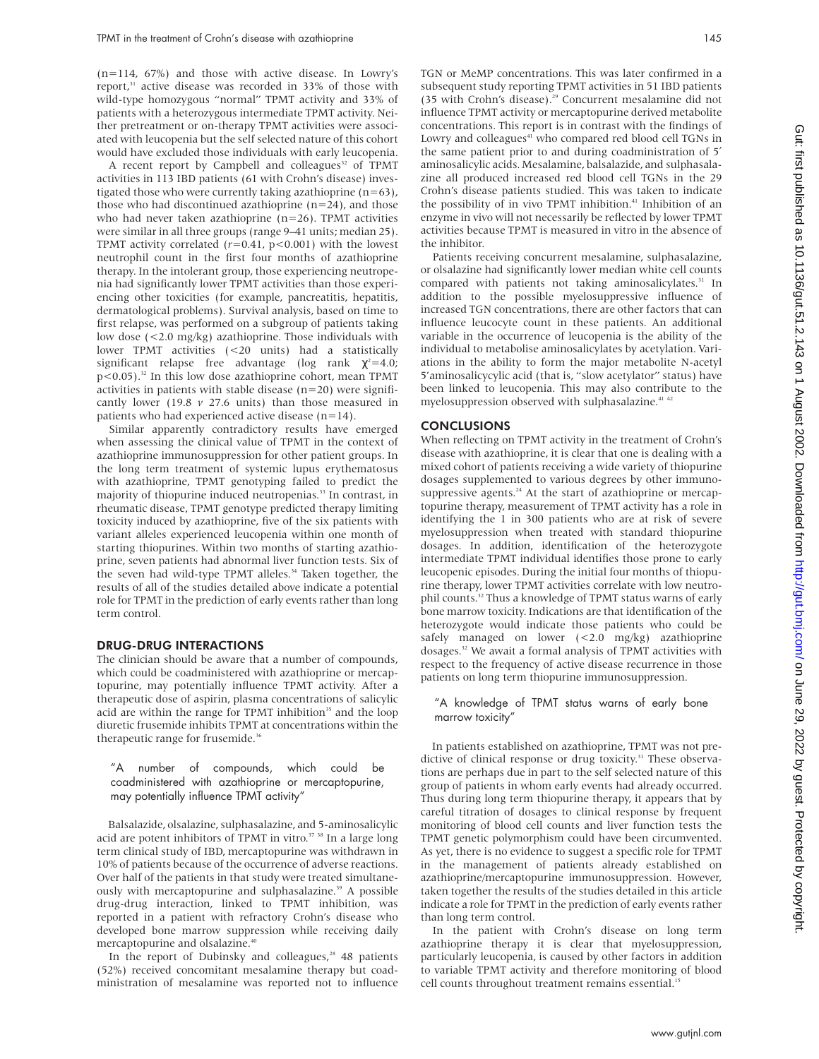(n=114, 67%) and those with active disease. In Lowry's report,<sup>31</sup> active disease was recorded in 33% of those with wild-type homozygous "normal" TPMT activity and 33% of patients with a heterozygous intermediate TPMT activity. Neither pretreatment or on-therapy TPMT activities were associated with leucopenia but the self selected nature of this cohort would have excluded those individuals with early leucopenia.

A recent report by Campbell and colleagues<sup>32</sup> of TPMT activities in 113 IBD patients (61 with Crohn's disease) investigated those who were currently taking azathioprine (n=63), those who had discontinued azathioprine  $(n=24)$ , and those who had never taken azathioprine  $(n=26)$ . TPMT activities were similar in all three groups (range 9–41 units; median 25). TPMT activity correlated (*r*=0.41, p<0.001) with the lowest neutrophil count in the first four months of azathioprine therapy. In the intolerant group, those experiencing neutropenia had significantly lower TPMT activities than those experiencing other toxicities (for example, pancreatitis, hepatitis, dermatological problems). Survival analysis, based on time to first relapse, was performed on a subgroup of patients taking low dose (<2.0 mg/kg) azathioprine. Those individuals with lower TPMT activities (<20 units) had a statistically significant relapse free advantage (log rank  $\chi^2$ =4.0;  $p$ <0.05).<sup>32</sup> In this low dose azathioprine cohort, mean TPMT activities in patients with stable disease  $(n=20)$  were significantly lower (19.8 *v* 27.6 units) than those measured in patients who had experienced active disease (n=14).

Similar apparently contradictory results have emerged when assessing the clinical value of TPMT in the context of azathioprine immunosuppression for other patient groups. In the long term treatment of systemic lupus erythematosus with azathioprine, TPMT genotyping failed to predict the majority of thiopurine induced neutropenias.<sup>33</sup> In contrast, in rheumatic disease, TPMT genotype predicted therapy limiting toxicity induced by azathioprine, five of the six patients with variant alleles experienced leucopenia within one month of starting thiopurines. Within two months of starting azathioprine, seven patients had abnormal liver function tests. Six of the seven had wild-type TPMT alleles.<sup>34</sup> Taken together, the results of all of the studies detailed above indicate a potential role for TPMT in the prediction of early events rather than long term control.

#### DRUG-DRUG INTERACTIONS

The clinician should be aware that a number of compounds, which could be coadministered with azathioprine or mercaptopurine, may potentially influence TPMT activity. After a therapeutic dose of aspirin, plasma concentrations of salicylic acid are within the range for TPMT inhibition<sup>35</sup> and the loop diuretic frusemide inhibits TPMT at concentrations within the therapeutic range for frusemide.<sup>36</sup>

#### "A number of compounds, which could be coadministered with azathioprine or mercaptopurine, may potentially influence TPMT activity"

Balsalazide, olsalazine, sulphasalazine, and 5-aminosalicylic acid are potent inhibitors of TPMT in vitro.<sup>37</sup> <sup>38</sup> In a large long term clinical study of IBD, mercaptopurine was withdrawn in 10% of patients because of the occurrence of adverse reactions. Over half of the patients in that study were treated simultaneously with mercaptopurine and sulphasalazine.<sup>39</sup> A possible drug-drug interaction, linked to TPMT inhibition, was reported in a patient with refractory Crohn's disease who developed bone marrow suppression while receiving daily mercaptopurine and olsalazine.<sup>40</sup>

In the report of Dubinsky and colleagues, $28$  48 patients (52%) received concomitant mesalamine therapy but coadministration of mesalamine was reported not to influence

TGN or MeMP concentrations. This was later confirmed in a subsequent study reporting TPMT activities in 51 IBD patients (35 with Crohn's disease).<sup>29</sup> Concurrent mesalamine did not influence TPMT activity or mercaptopurine derived metabolite concentrations. This report is in contrast with the findings of Lowry and colleagues<sup>41</sup> who compared red blood cell TGNs in the same patient prior to and during coadministration of 5′ aminosalicylic acids. Mesalamine, balsalazide, and sulphasalazine all produced increased red blood cell TGNs in the 29 Crohn's disease patients studied. This was taken to indicate the possibility of in vivo TPMT inhibition.<sup>41</sup> Inhibition of an enzyme in vivo will not necessarily be reflected by lower TPMT activities because TPMT is measured in vitro in the absence of the inhibitor.

Patients receiving concurrent mesalamine, sulphasalazine, or olsalazine had significantly lower median white cell counts compared with patients not taking aminosalicylates.<sup>31</sup> In addition to the possible myelosuppressive influence of increased TGN concentrations, there are other factors that can influence leucocyte count in these patients. An additional variable in the occurrence of leucopenia is the ability of the individual to metabolise aminosalicylates by acetylation. Variations in the ability to form the major metabolite N-acetyl 5'aminosalicycylic acid (that is, "slow acetylator" status) have been linked to leucopenia. This may also contribute to the myelosuppression observed with sulphasalazine.<sup>41 42</sup>

#### **CONCLUSIONS**

When reflecting on TPMT activity in the treatment of Crohn's disease with azathioprine, it is clear that one is dealing with a mixed cohort of patients receiving a wide variety of thiopurine dosages supplemented to various degrees by other immunosuppressive agents. $24$  At the start of azathioprine or mercaptopurine therapy, measurement of TPMT activity has a role in identifying the 1 in 300 patients who are at risk of severe myelosuppression when treated with standard thiopurine dosages. In addition, identification of the heterozygote intermediate TPMT individual identifies those prone to early leucopenic episodes. During the initial four months of thiopurine therapy, lower TPMT activities correlate with low neutrophil counts.<sup>32</sup> Thus a knowledge of TPMT status warns of early bone marrow toxicity. Indications are that identification of the heterozygote would indicate those patients who could be safely managed on lower (<2.0 mg/kg) azathioprine dosages.<sup>32</sup> We await a formal analysis of TPMT activities with respect to the frequency of active disease recurrence in those patients on long term thiopurine immunosuppression.

#### "A knowledge of TPMT status warns of early bone marrow toxicity"

In patients established on azathioprine, TPMT was not predictive of clinical response or drug toxicity.<sup>31</sup> These observations are perhaps due in part to the self selected nature of this group of patients in whom early events had already occurred. Thus during long term thiopurine therapy, it appears that by careful titration of dosages to clinical response by frequent monitoring of blood cell counts and liver function tests the TPMT genetic polymorphism could have been circumvented. As yet, there is no evidence to suggest a specific role for TPMT in the management of patients already established on azathioprine/mercaptopurine immunosuppression. However, taken together the results of the studies detailed in this article indicate a role for TPMT in the prediction of early events rather than long term control.

In the patient with Crohn's disease on long term azathioprine therapy it is clear that myelosuppression, particularly leucopenia, is caused by other factors in addition to variable TPMT activity and therefore monitoring of blood cell counts throughout treatment remains essential.<sup>15</sup>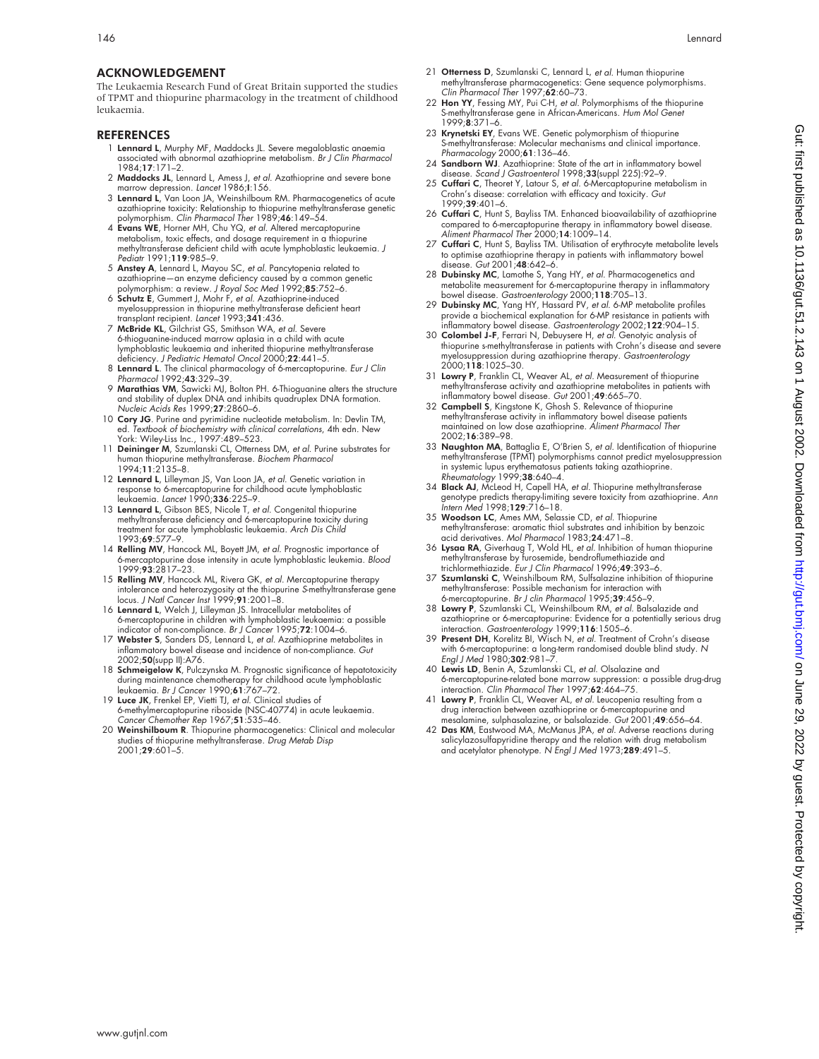# ACKNOWLEDGEMENT

The Leukaemia Research Fund of Great Britain supported the studies of TPMT and thiopurine pharmacology in the treatment of childhood leukaemia.

#### REFERENCES

- 1 Lennard L, Murphy MF, Maddocks JL. Severe megaloblastic anaemia associated with abnormal azathioprine metabolism. Br J Clin Pharmacol 1984;17:171–2.
- 2 Maddocks JL, Lennard L, Amess J, et al. Azathioprine and severe bone marrow depression. Lancet 1986;I:156.
- 3 Lennard L, Van Loon JA, Weinshilboum RM. Pharmacogenetics of acute azathioprine toxicity: Relationship to thiopurine methyltransferase genetic polymorphism. Clin Pharmacol Ther 1989;46:149-54.
- 4 Evans WE, Horner MH, Chu YQ, et al. Altered mercaptopurine metabolism, toxic effects, and dosage requirement in a thiopurine methyltransferase deficient child with acute lymphoblastic leukaemia*. J*<br>Pediatr 1991;**119**:985–9.
- 5 Anstey A, Lennard L, Mayou SC, et al. Pancytopenia related to azathioprine—an enzyme deficiency caused by a common genetic polymorphism: a review. J Royal Soc Med 1992;85:752-6
- 6 Schutz E, Gummert J, Mohr F, et al. Azathioprine-induced myelosuppression in thiopurine methyltransferase deficient heart<br>transplant recipient. *Lancet* 1993;**341**:436.
- 7 McBride KL, Gilchrist GS, Smithson WA, et al. Severe 6-thioguanine-induced marrow aplasia in a child with acute lymphoblastic leukaemia and inherited thiopurine methyltransferase deficiency. J Pediatric Hematol Oncol 2000;22:441-5.
- 8 Lennard L. The clinical pharmacology of 6-mercaptopurine. *Eur J Clin*<br>Pharmacol 1992;**43**:329–39.
- 9 Marathias VM, Sawicki MJ, Bolton PH. 6-Thioguanine alters the structure and stability of duplex DNA and inhibits quadruplex DNA formation. Nucleic Acids Res 1999;27:2860–6.
- 10 Cory JG. Purine and pyrimidine nucleotide metabolism. In: Devlin TM, ed. *Textbook of biochemistry with clinical correlations, 4t*h edn. New<br>York: Wiley-Liss Inc., 1997:489–523.<br>11 **Deininger M**, Szumlanski CL, Otterness DM, *et al*. Purine substrates for
- human thiopurine methyltransferase. Biochem Pharmacol 1994;11:2135–8.
- 12 Lennard L, Lilleyman JS, Van Loon JA, et al. Genetic variation in response to 6-mercaptopurine for childhood acute lymphoblastic<br>leukaemia. *Lancet* 1990;**336**:225–9.
- 13 Lennard L, Gibson BES, Nicole T, et al. Congenital thiopurine methyltransferase deficiency and 6-mercaptopurine toxicity during treatment for acute lymphoblastic leukaemia. Arch Dis Child 1993;69:577–9.
- 14 Relling MV, Hancock ML, Boyett JM, et al. Prognostic importance of 6-mercaptopurine dose intensity in acute lymphoblastic leukemia*. Blood*<br>1999;**93**:2817–23.
- 15 Relling MV, Hancock ML, Rivera GK, et al. Mercaptopurine therapy intolerance and heterozygosity at the thiopurine S-methyltransferase gene locus. J Natl Cancer Inst 1999;91:2001–8.
- 16 Lennard L, Welch J, Lilleyman JS. Intracellular metabolites of 6-mercaptopurine in children with lymphoblastic leukaemia: a possible<br>indicator of non-compliance. *Br J Cancer* 1995;**72**:1004–6.<br>17 Webster S, Sanders DS, Lennard L, *et al.* Azathioprine metabolites in
- inflammatory bowel disease and incidence of non-compliance. Gut 2002;50(supp II):A76.
- 18 Schmeigelow K, Pulczynska M. Prognostic significance of hepatotoxicity
- during maintenance chemotherapy for childhood acute lymphoblastic<br>leukaemia. Br J Cancer 1990;**61**:767–72.<br>19 **Luce JK**, Frenkel EP, Vietti TJ, *et al.* Clinical studies of<br>6-methylmercaptopurine riboside (NSC-40774) in ac Cancer Chemother Rep 1967;51:535–46.
- 20 Weinshilboum R. Thiopurine pharmacogenetics: Clinical and molecular studies of thiopurine methyltransferase. Drug Metab Disp 2001;29:601–5.
- 21 Otterness D, Szumlanski C, Lennard L, et al. Human thiopurine methyltransferase pharmacogenetics: Gene sequence polymorphisms. Clin Pharmacol Ther 1997;62:60-73.
- 22 Hon YY, Fessing MY, Pui C-H, et al. Polymorphisms of the thiopurine S-methyltransferase gene in African-Americans. Hum Mol Genet 1999;8:371–6.
- 23 Krynetski EY, Evans WE. Genetic polymorphism of thiopurine S-methyltransferase: Molecular mechanisms and clinical importance. Pharmacology 2000;61:136–46.
- 24 Sandborn WJ. Azathioprine: State of the art in inflammatory bowel disease. Scand J Gastroenterol 1998;33(suppl 225):92–9.
- 25 Cuffari C, Theoret Y, Latour S, et al. 6-Mercaptopurine metabolism in Crohn's disease: correlation with efficacy and toxicity. Gut 1999;39:401–6.
- 26 Cuffari C, Hunt S, Bayliss TM. Enhanced bioavailability of azathioprine compared to 6-mercaptopurine therapy in inflammatory bowel disease. Aliment Pharmacol Ther 2000;14:1009–14.
- 27 Cuffari C, Hunt S, Bayliss TM. Utilisation of erythrocyte metabolite levels to optimise azathioprine therapy in patients with inflammatory bowel disease. Gut 2001;48:642–6.
- 28 Dubinsky MC, Lamothe S, Yang HY, et al. Pharmacogenetics and metabolite measurement for 6-mercaptopurine therapy in inflammatory bowel disease. Gastroenterology 2000;118:705–13.
- 29 Dubinsky MC, Yang HY, Hassard PV, et al. 6-MP metabolite profiles provide a biochemical explanation for 6-MP resistance in patients with inflammatory bowel disease. *Gastroenterology* 2002;1**22**:904–15.<br>30 **Colombel J-F**, Ferrari N, Debuysere H, *et al*. Genotyic analysis of
- thiopurine s-methyltransferase in patients with Crohn's disease and severe myelosuppression during azathioprine therapy. Gastroenterology 2000;118:1025–30.
- 31 Lowry P, Franklin CL, Weaver AL, et al. Measurement of thiopurine methyltransferase activity and azathioprine metabolites in patients with inflammatory bowel disease. Gut 2001;49:665–70.
- 32 Campbell S, Kingstone K, Ghosh S. Relevance of thiopurine methyltransferase activity in inflammatory bowel disease patients maintained on low dose azathioprine. Aliment Pharmacol Ther 2002;16:389–98.
- 33 Naughton MA, Battaglia E, O'Brien S, et al. Identification of thiopurine methyltransferase (TPMT) polymorphisms cannot predict myelosuppression in systemic lupus erythematosus patients taking azathioprine. Rheumatology 1999;38:640–4.
- 34 Black AJ, McLeod H, Capell HA, et al. Thiopurine methyltransferase genotype predicts therapy-limiting severe toxicity from azathioprine. A*nn*<br>I*ntern Med* 1998;**129**:716–18.
- 35 Woodson LC, Ames MM, Selassie CD, et al. Thiopurine methyltransferase: aromatic thiol substrates and inhibition by benzoic acid derivatives. Mol Pharmacol 1983;24:471–8.
- 36 Lysaa RA, Giverhaug T, Wold HL, et al. Inhibition of human thiopurine methyltransferase by furosemide, bendroflumethiazide and trichlormethiazide. Eur J Clin Pharmacol 1996;49:393-6.
- Szumlanski C, Weinshilboum RM, Sulfsalazine inhibition of thiopurine
- methyltransferase: Possible mechanism for interaction with<br>6-mercaptopurine. *Br J clin Pharmacol* 1995;39:456–9.<br>38 **Lowry P**, Szumlanski CL, Weinshiblown RM, *et al.* Balsalazide and<br>azathioprine or 6-mercaptopurine: Evi
- 39 Present DH, Korelitz BI, Wisch N, et al. Treatment of Crohn's disease with 6-mercaptopurine: a long-term randomised double blind study. N Engl J Med  $1980;302:981-7$
- 40 Lewis LD, Benin A, Szumlanski CL, et al. Olsalazine and 6-mercaptopurine-related bone marrow suppression: a possible drug-drug interaction. Clin Pharmacol Ther 1997;62:464–75.
- Lowry P, Franklin CL, Weaver AL, et al. Leucopenia resulting from a drug interaction between azathioprine or 6-mercaptopurine and mesalamine, sulphasalazine, or balsalazide. Gut 2001;49:656–64.
- 42 Das KM, Eastwood MA, McManus JPA, et al. Adverse reactions during salicylazosulfapyridine therapy and the relation with drug metabolism<br>and acetylator phenotype. N Engl J Med 1973;**289**:491–5.

Gut: first published as 10.1136/gut.51.2.143 on 1 August 2002. Downloaded from http://gut.bmj.com/ on June 29, 2022 by guest. Protected by copyright on June 29, 2022 by guest. Protected by copyright. <http://gut.bmj.com/> Gut: first published as 10.1136/gut.51.2.143 on 1 August 2002. Downloaded from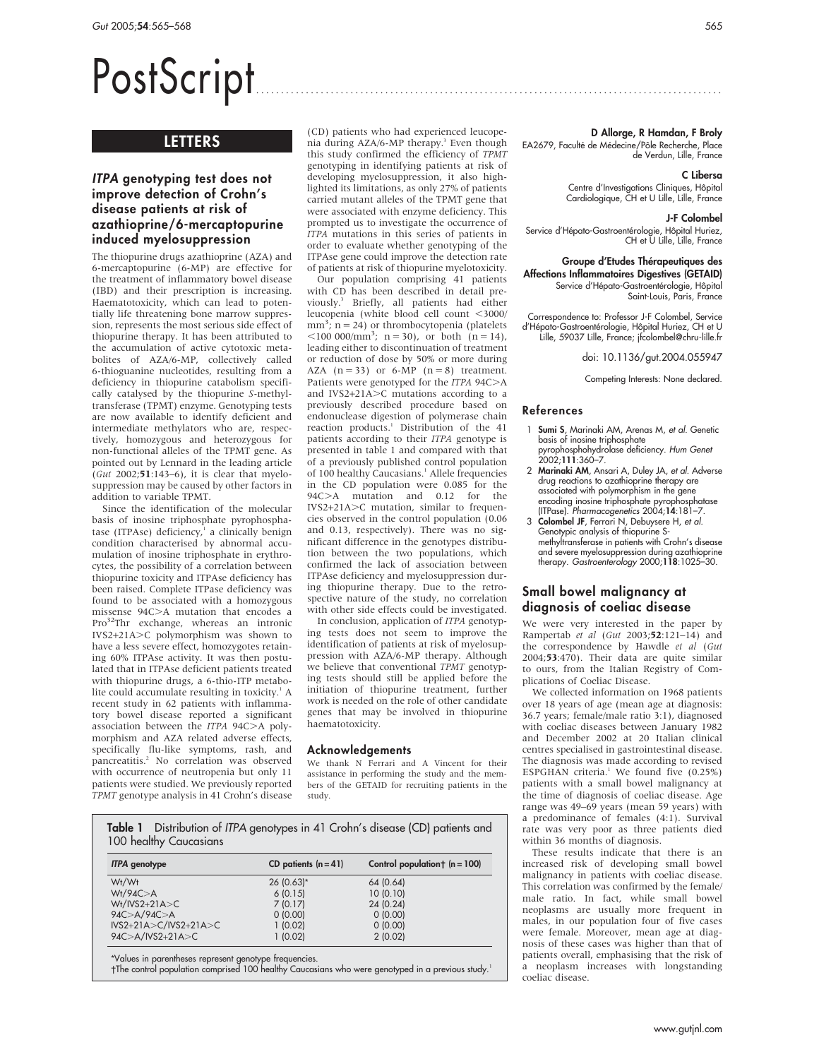# PostScript ..............................................................................................

# LETTERS

# ITPA genotyping test does not improve detection of Crohn's disease patients at risk of azathioprine/6-mercaptopurine induced myelosuppression

The thiopurine drugs azathioprine (AZA) and 6-mercaptopurine (6-MP) are effective for the treatment of inflammatory bowel disease (IBD) and their prescription is increasing. Haematotoxicity, which can lead to potentially life threatening bone marrow suppression, represents the most serious side effect of thiopurine therapy. It has been attributed to the accumulation of active cytotoxic metabolites of AZA/6-MP, collectively called 6-thioguanine nucleotides, resulting from a deficiency in thiopurine catabolism specifically catalysed by the thiopurine S-methyltransferase (TPMT) enzyme. Genotyping tests are now available to identify deficient and intermediate methylators who are, respectively, homozygous and heterozygous for non-functional alleles of the TPMT gene. As pointed out by Lennard in the leading article  $(Gut 2002; 51:143-6)$ , it is clear that myelosuppression may be caused by other factors in addition to variable TPMT.

Since the identification of the molecular basis of inosine triphosphate pyrophosphatase (ITPAse) deficiency, $1$  a clinically benign condition characterised by abnormal accumulation of inosine triphosphate in erythrocytes, the possibility of a correlation between thiopurine toxicity and ITPAse deficiency has been raised. Complete ITPase deficiency was found to be associated with a homozygous missense  $94C$  $A$  mutation that encodes a Pro<sup>32</sup>Thr exchange, whereas an intronic IVS2+21A.C polymorphism was shown to have a less severe effect, homozygotes retaining 60% ITPAse activity. It was then postulated that in ITPAse deficient patients treated with thiopurine drugs, a 6-thio-ITP metabolite could accumulate resulting in toxicity. $<sup>1</sup>$  A</sup> recent study in 62 patients with inflammatory bowel disease reported a significant association between the  $ITPA$  94C $>$ A polymorphism and AZA related adverse effects, specifically flu-like symptoms, rash, and pancreatitis.<sup>2</sup> No correlation was observed with occurrence of neutropenia but only 11 patients were studied. We previously reported TPMT genotype analysis in 41 Crohn's disease

(CD) patients who had experienced leucopenia during AZA/6-MP therapy.<sup>3</sup> Even though this study confirmed the efficiency of TPMT genotyping in identifying patients at risk of developing myelosuppression, it also highlighted its limitations, as only 27% of patients carried mutant alleles of the TPMT gene that were associated with enzyme deficiency. This prompted us to investigate the occurrence of ITPA mutations in this series of patients in order to evaluate whether genotyping of the ITPAse gene could improve the detection rate of patients at risk of thiopurine myelotoxicity.

Our population comprising 41 patients with CD has been described in detail previously.3 Briefly, all patients had either leucopenia (white blood cell count <3000/  $mm^3$ ; n = 24) or thrombocytopenia (platelets  $\langle 100\ 000/\text{mm}^3; \ n = 30$ ), or both (n = 14), leading either to discontinuation of treatment or reduction of dose by 50% or more during AZA  $(n = 33)$  or 6-MP  $(n = 8)$  treatment. Patients were genotyped for the ITPA 94C>A and IVS2+21A $>$ C mutations according to a previously described procedure based on endonuclease digestion of polymerase chain reaction products.<sup>1</sup> Distribution of the 41 patients according to their ITPA genotype is presented in table 1 and compared with that of a previously published control population of 100 healthy Caucasians.<sup>1</sup> Allele frequencies in the CD population were 0.085 for the 94C>A mutation and 0.12 for the IVS2+21A>C mutation, similar to frequencies observed in the control population (0.06 and 0.13, respectively). There was no significant difference in the genotypes distribution between the two populations, which confirmed the lack of association between ITPAse deficiency and myelosuppression during thiopurine therapy. Due to the retrospective nature of the study, no correlation with other side effects could be investigated.

In conclusion, application of ITPA genotyping tests does not seem to improve the identification of patients at risk of myelosuppression with AZA/6-MP therapy. Although we believe that conventional TPMT genotyping tests should still be applied before the initiation of thiopurine treatment, further work is needed on the role of other candidate genes that may be involved in thiopurine haematotoxicity.

#### Acknowledgements

We thank N Ferrari and A Vincent for their assistance in performing the study and the members of the GETAID for recruiting patients in the study.

**Table 1** Distribution of ITPA genotypes in 41 Crohn's disease (CD) patients and 100 healthy Caucasians

| <b>ITPA</b> genotype                           | CD patients $(n=41)$ | Control population $\uparrow$ (n = 100) |
|------------------------------------------------|----------------------|-----------------------------------------|
| Wt/Wt<br>Wt/94C > A                            | $26(0.63)$ *         | 64 (0.64)                               |
| $Wt/IVS2+21A > C$                              | 6(0.15)<br>7(0.17)   | 10(0.10)<br>24 (0.24)                   |
| 94C > A/94C > A<br>$IVS2+21A > C/IVS2+21A > C$ | 0(0.00)<br>1(0.02)   | 0(0.00)<br>0(0.00)                      |
| $94C > A/IVS2 + 21A > C$                       | 1(0.02)              | 2(0.02)                                 |

\*Values in parentheses represent genotype frequencies.

The control population comprised 100 healthy Caucasians who were genotyped in a previous study.<sup>1</sup>

D Allorge, R Hamdan, F Broly

EA2679, Faculté de Médecine/Pôle Recherche, Place de Verdun, Lille, France

#### C Libersa

Centre d'Investigations Cliniques, Hôpital<br>Cardiologique, CH et U Lille, Lille, France

#### J-F Colombel

Service d'Hépato-Gastroentérologie, Hôpital Huriez, CH et U Lille, Lille, France

Groupe d'Etudes Thérapeutiques des Affections Inflammatoires Digestives (GETAID) Service d'Hépato-Gastroentérologie, Hôpital Saint-Louis, Paris, France

Correspondence to: Professor J-F Colombel, Service d'Hépato-Gastroentérologie, Hôpital Huriez, CH et U Lille, 59037 Lille, France; jfcolombel@chru-lille.fr

doi: 10.1136/gut.2004.055947

Competing Interests: None declared.

#### References

- 1 Sumi S, Marinaki AM, Arenas M, et al. Genetic basis of inosine triphosphate pyrophosphohydrolase deficiency. *Hum Genet*<br>2002;**111**:360–7.
- 2 Marinaki AM, Ansari A, Duley JA, et al. Adverse drug reactions to azathioprine therapy are associated with polymorphism in the gene encoding inosine triphosphate pyrophosphatase (ITPase). Pharmacogenetics 2004;14:181–7.
- 3 Colombel JF, Ferrari N, Debuysere H, et al. Genotypic analysis of thiopurine Smethyltransferase in patients with Crohn's disease and severe myelosuppression during azathioprine<br>therapy*. Gastroenterology* 2000;**118**:1025–30.

### Small bowel malignancy at diagnosis of coeliac disease

We were very interested in the paper by Rampertab et al (Gut 2003;52:121–14) and the correspondence by Hawdle et al (Gut 2004;53:470). Their data are quite similar to ours, from the Italian Registry of Complications of Coeliac Disease.

We collected information on 1968 patients over 18 years of age (mean age at diagnosis: 36.7 years; female/male ratio 3:1), diagnosed with coeliac diseases between January 1982 and December 2002 at 20 Italian clinical centres specialised in gastrointestinal disease. The diagnosis was made according to revised ESPGHAN criteria.<sup>1</sup> We found five  $(0.25\%)$ patients with a small bowel malignancy at the time of diagnosis of coeliac disease. Age range was 49–69 years (mean 59 years) with a predominance of females (4:1). Survival rate was very poor as three patients died within 36 months of diagnosis.

These results indicate that there is an increased risk of developing small bowel malignancy in patients with coeliac disease. This correlation was confirmed by the female/ male ratio. In fact, while small bowel neoplasms are usually more frequent in males, in our population four of five cases were female. Moreover, mean age at diagnosis of these cases was higher than that of patients overall, emphasising that the risk of a neoplasm increases with longstanding coeliac disease.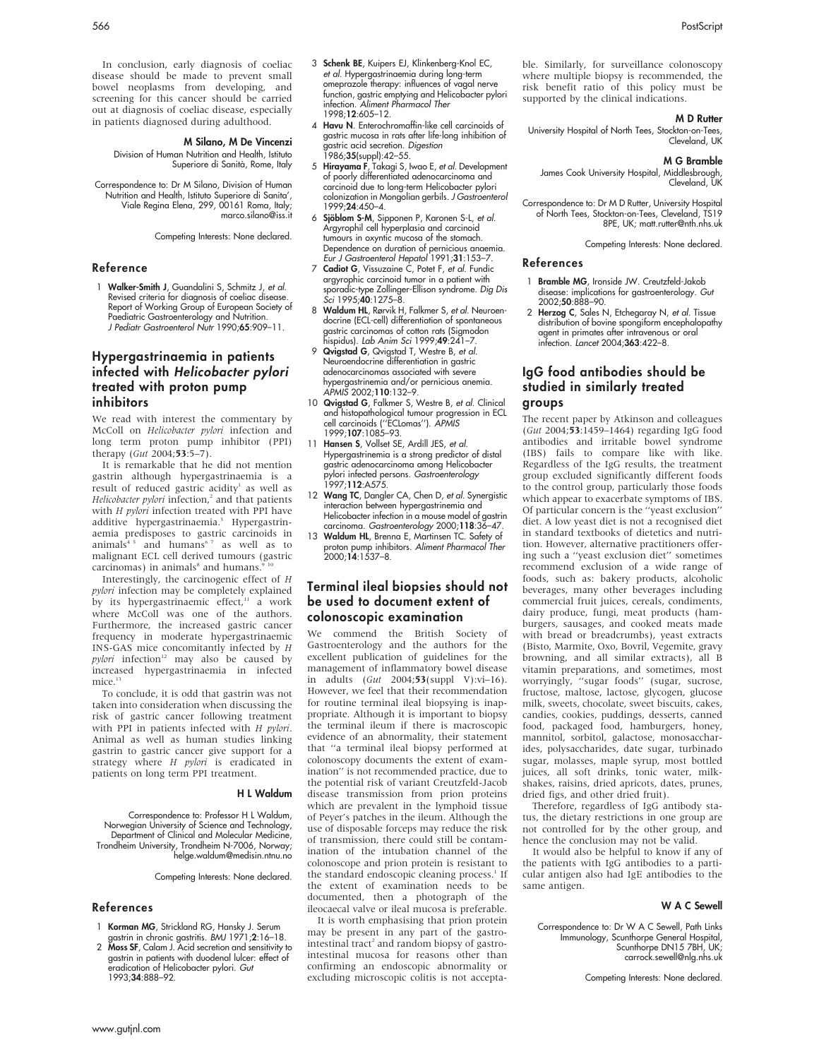In conclusion, early diagnosis of coeliac disease should be made to prevent small bowel neoplasms from developing, and screening for this cancer should be carried out at diagnosis of coeliac disease, especially in patients diagnosed during adulthood.

#### M Silano, M De Vincenzi

Division of Human Nutrition and Health, Istituto Superiore di Sanità, Rome, Italy

Correspondence to: Dr M Silano, Division of Human Nutrition and Health, Istituto Superiore di Sanita', Viale Regina Elena, 299, 00161 Roma, Italy; marco.silano@iss.it

Competing Interests: None declared.

#### Reference

1 Walker-Smith J, Guandalini S, Schmitz J, et al. Revised criteria for diagnosis of coeliac disease. Report of Working Group of European Society of Paediatric Gastroenterology and Nutrition. J Pediatr Gastroenterol Nutr 1990;65:909–11.

# Hypergastrinaemia in patients infected with Helicobacter pylori treated with proton pump inhibitors

We read with interest the commentary by McColl on Helicobacter pylori infection and long term proton pump inhibitor (PPI) therapy (Gut 2004;53:5-7).

It is remarkable that he did not mention gastrin although hypergastrinaemia is a result of reduced gastric acidity<sup>1</sup> as well as Helicobacter pylori infection, $^2$  and that patients with H pylori infection treated with PPI have additive hypergastrinaemia.<sup>3</sup> Hypergastrinaemia predisposes to gastric carcinoids in  $animals<sup>4 5</sup>$  and humans<sup>67</sup> as well as to malignant ECL cell derived tumours (gastric  $carcinomas)$  in animals $^8$  and humans.<sup>9</sup>

Interestingly, the carcinogenic effect of H pylori infection may be completely explained by its hypergastrinaemic effect,<sup>11</sup> a work where McColl was one of the authors. Furthermore, the increased gastric cancer frequency in moderate hypergastrinaemic INS-GAS mice concomitantly infected by H  $pylori$  infection<sup>12</sup> may also be caused by increased hypergastrinaemia in infected mice.<sup>13</sup>

To conclude, it is odd that gastrin was not taken into consideration when discussing the risk of gastric cancer following treatment with PPI in patients infected with  $H$  pylori. Animal as well as human studies linking gastrin to gastric cancer give support for a strategy where H pylori is eradicated in patients on long term PPI treatment.

#### H L Waldum

Correspondence to: Professor H L Waldum, Norwegian University of Science and Technology, Department of Clinical and Molecular Medicine, Trondheim University, Trondheim N-7006, Norway; helge.waldum@medisin.ntnu.no

Competing Interests: None declared.

#### References

- 
- 1 Korman MG, Strickland RG, Hansky J. Serum gastrin in chronic gastritis. BMJ 1971;2:16–18. 2 Moss SF, Calam J. Acid secretion and sensitivity to gastrin in patients with duodenal lulcer: effect of eradication of Helicobacter pylori. Gut 1993;34:888–92.
- 3 Schenk BE, Kuipers EJ, Klinkenberg-Knol EC, et al. Hypergastrinaemia during long-term omeprazole therapy: influences of vagal nerve function, gastric emptying and Helicobacter pylori infection. Aliment Pharmacol Ther 1998;12:605–12.
- 4 Havu N. Enterochromaffin-like cell carcinoids of gastric mucosa in rats after life-long inhibition of gastric acid secretion. Digestion 1986;35(suppl):42–55.
- 5 Hirayama F, Takagi S, Iwao E, et al. Development of poorly differentiated adenocarcinoma and carcinoid due to long-term Helicobacter pylori colonization in Mongolian gerbils. J Gastroenterol 1999;24:450–4.
- 6 Sjöblom S-M, Sipponen P, Karonen S-L, et al. Argyrophil cell hyperplasia and carcinoid tumours in oxyntic mucosa of the stomach. Dependence on duration of pernicious anaemia. Eur J Gastroenterol Hepatol 1991;31:153–7.
- 7 Cadiot G, Vissuzaine C, Potet F, et al. Fundic argyrophic carcinoid tumor in a patient with sporadic-type Zollinger-Ellison syndrome. Dig Dis Sci 1995;40:1275–8.
- 8 Waldum HL, Rørvik H, Falkmer S, et al. Neuroendocrine (ECL-cell) differentiation of spontaneous gastric carcinomas of cotton rats (Sigmodon hispidus). Lab Anim Sci 1999;49:241–7.
- 9 Qvigstad G, Qvigstad T, Westre B, et al. Neuroendocrine differentiation in gastric adenocarcinomas associated with severe hypergastrinemia and/or pernicious anemia. APMIS 2002;110:132–9.
- 10 Qvigstad G, Falkmer S, Westre B, et al. Clinical and histopathological tumour progression in ECL cell carcinoids (''ECLomas''). APMIS 1999;107:1085–93.
- 11 Hansen S, Vollset SE, Ardill JES, et al. Hypergastrinemia is a strong predictor of distal gastric adenocarcinoma among Helicobacter pylori infected persons. *Gastroenterology*<br>1997;**112**:A575.
- 12 Wang TC, Dangler CA, Chen D, et al. Synergistic interaction between hypergastrinemia and Helicobacter infection in a mouse model of gastrin carcinoma. Gastroenterology 2000;118:36–47.
- 13 Waldum HL, Brenna E, Martinsen TC. Safety of proton pump inhibitors. Aliment Pharmacol Ther 2000;14:1537–8.

# Terminal ileal biopsies should not be used to document extent of colonoscopic examination

We commend the British Society of Gastroenterology and the authors for the excellent publication of guidelines for the management of inflammatory bowel disease in adults (Gut 2004;53(suppl V):vi-16). However, we feel that their recommendation for routine terminal ileal biopsying is inappropriate. Although it is important to biopsy the terminal ileum if there is macroscopic evidence of an abnormality, their statement that ''a terminal ileal biopsy performed at colonoscopy documents the extent of examination'' is not recommended practice, due to the potential risk of variant Creutzfeld-Jacob disease transmission from prion proteins which are prevalent in the lymphoid tissue of Peyer's patches in the ileum. Although the use of disposable forceps may reduce the risk of transmission, there could still be contamination of the intubation channel of the colonoscope and prion protein is resistant to the standard endoscopic cleaning process.<sup>1</sup> If the extent of examination needs to be documented, then a photograph of the ileocaecal valve or ileal mucosa is preferable.

It is worth emphasising that prion protein may be present in any part of the gastrointestinal tract<sup>2</sup> and random biopsy of gastrointestinal mucosa for reasons other than confirming an endoscopic abnormality or excluding microscopic colitis is not acceptable. Similarly, for surveillance colonoscopy where multiple biopsy is recommended, the risk benefit ratio of this policy must be supported by the clinical indications.

#### **MD** Rutter

University Hospital of North Tees, Stockton-on-Tees, Cleveland, UK

#### M G Bramble

James Cook University Hospital, Middlesbrough, Cleveland, UK

Correspondence to: Dr M D Rutter, University Hospital of North Tees, Stockton-on-Tees, Cleveland, TS19 8PE, UK; matt.rutter@nth.nhs.uk

Competing Interests: None declared.

#### References

- 1 Bramble MG, Ironside JW. Creutzfeld-Jakob disease: implications for gastroenterology. Gut 2002;50:888–90.
- 2 Herzog C, Sales N, Etchegaray N, et al. Tissue distribution of bovine spongiform encephalopathy agent in primates after intravenous or oral infection. Lancet 2004;363:422–8.

# IgG food antibodies should be studied in similarly treated groups

The recent paper by Atkinson and colleagues (Gut 2004;53:1459–1464) regarding IgG food antibodies and irritable bowel syndrome (IBS) fails to compare like with like. Regardless of the IgG results, the treatment group excluded significantly different foods to the control group, particularly those foods which appear to exacerbate symptoms of IBS. Of particular concern is the ''yeast exclusion'' diet. A low yeast diet is not a recognised diet in standard textbooks of dietetics and nutrition. However, alternative practitioners offering such a ''yeast exclusion diet'' sometimes recommend exclusion of a wide range of foods, such as: bakery products, alcoholic beverages, many other beverages including commercial fruit juices, cereals, condiments, dairy produce, fungi, meat products (hamburgers, sausages, and cooked meats made with bread or breadcrumbs), yeast extracts (Bisto, Marmite, Oxo, Bovril, Vegemite, gravy browning, and all similar extracts), all B vitamin preparations, and sometimes, most worryingly, ''sugar foods'' (sugar, sucrose, fructose, maltose, lactose, glycogen, glucose milk, sweets, chocolate, sweet biscuits, cakes, candies, cookies, puddings, desserts, canned food, packaged food, hamburgers, honey, mannitol, sorbitol, galactose, monosaccharides, polysaccharides, date sugar, turbinado sugar, molasses, maple syrup, most bottled juices, all soft drinks, tonic water, milkshakes, raisins, dried apricots, dates, prunes, dried figs, and other dried fruit).

Therefore, regardless of IgG antibody status, the dietary restrictions in one group are not controlled for by the other group, and hence the conclusion may not be valid.

It would also be helpful to know if any of the patients with IgG antibodies to a particular antigen also had IgE antibodies to the same antigen.

#### W A C Sewell

Correspondence to: Dr W A C Sewell, Path Links Immunology, Scunthorpe General Hospital, Scunthorpe DN15 7BH, UK; carrock.sewell@nlg.nhs.uk

Competing Interests: None declared.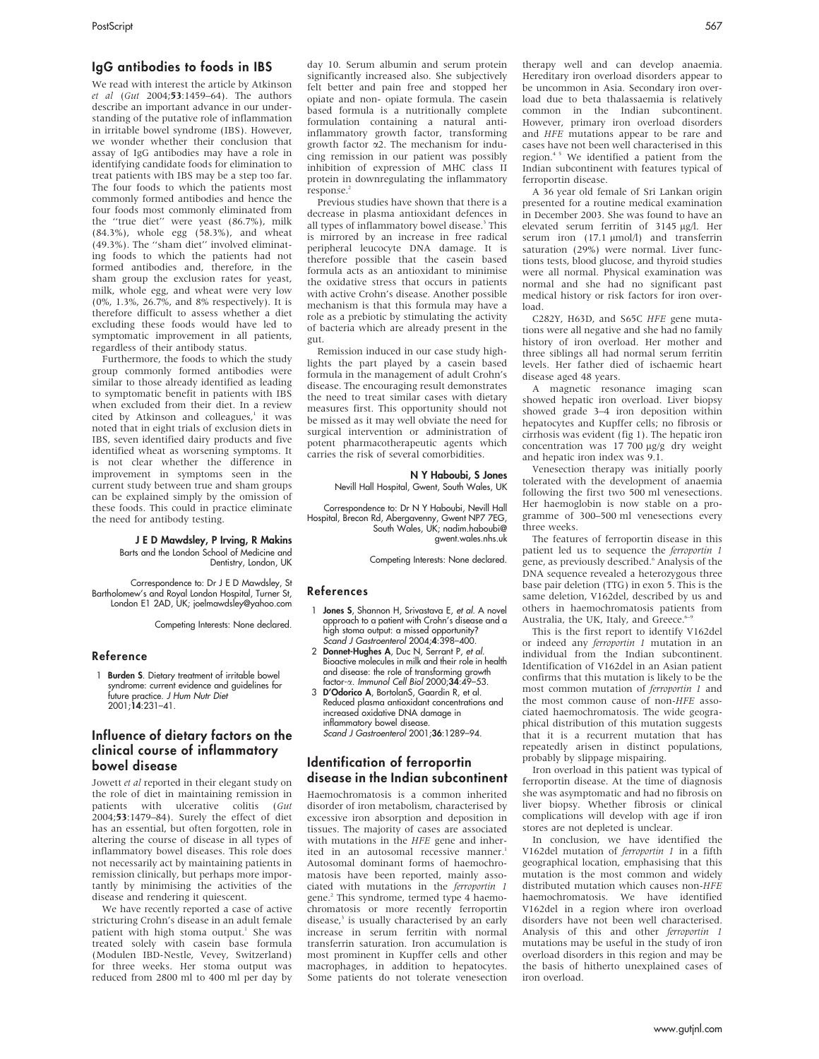#### IgG antibodies to foods in IBS

We read with interest the article by Atkinson et al (Gut 2004;53:1459–64). The authors describe an important advance in our understanding of the putative role of inflammation in irritable bowel syndrome (IBS). However, we wonder whether their conclusion that assay of IgG antibodies may have a role in identifying candidate foods for elimination to treat patients with IBS may be a step too far. The four foods to which the patients most commonly formed antibodies and hence the four foods most commonly eliminated from the ''true diet'' were yeast (86.7%), milk (84.3%), whole egg (58.3%), and wheat (49.3%). The ''sham diet'' involved eliminating foods to which the patients had not formed antibodies and, therefore, in the sham group the exclusion rates for yeast, milk, whole egg, and wheat were very low (0%, 1.3%, 26.7%, and 8% respectively). It is therefore difficult to assess whether a diet excluding these foods would have led to symptomatic improvement in all patients, regardless of their antibody status.

Furthermore, the foods to which the study group commonly formed antibodies were similar to those already identified as leading to symptomatic benefit in patients with IBS when excluded from their diet. In a review cited by Atkinson and colleagues, $<sup>1</sup>$  it was</sup> noted that in eight trials of exclusion diets in IBS, seven identified dairy products and five identified wheat as worsening symptoms. It is not clear whether the difference in improvement in symptoms seen in the current study between true and sham groups can be explained simply by the omission of these foods. This could in practice eliminate the need for antibody testing.

J E D Mawdsley, P Irving, R Makins

Barts and the London School of Medicine and Dentistry, London, UK

Correspondence to: Dr J E D Mawdsley, St Bartholomew's and Royal London Hospital, Turner St, London E1 2AD, UK; joelmawdsley@yahoo.com

Competing Interests: None declared.

#### Reference

1 Burden S. Dietary treatment of irritable bowel syndrome: current evidence and guidelines <del>l</del>or<br>future practice. *J Hum Nutr Diet* 2001;14:231–41.

# Influence of dietary factors on the clinical course of inflammatory bowel disease

Jowett et al reported in their elegant study on the role of diet in maintaining remission in patients with ulcerative colitis (Gut 2004;53:1479–84). Surely the effect of diet has an essential, but often forgotten, role in altering the course of disease in all types of inflammatory bowel diseases. This role does not necessarily act by maintaining patients in remission clinically, but perhaps more importantly by minimising the activities of the disease and rendering it quiescent.

We have recently reported a case of active stricturing Crohn's disease in an adult female patient with high stoma output.<sup>1</sup> She was treated solely with casein base formula (Modulen IBD-Nestle, Vevey, Switzerland) for three weeks. Her stoma output was reduced from 2800 ml to 400 ml per day by day 10. Serum albumin and serum protein significantly increased also. She subjectively felt better and pain free and stopped her opiate and non- opiate formula. The casein based formula is a nutritionally complete formulation containing a natural antiinflammatory growth factor, transforming growth factor  $\alpha$ 2. The mechanism for inducing remission in our patient was possibly inhibition of expression of MHC class II protein in downregulating the inflammatory response.<sup>2</sup>

Previous studies have shown that there is a decrease in plasma antioxidant defences in all types of inflammatory bowel disease.<sup>3</sup> This is mirrored by an increase in free radical peripheral leucocyte DNA damage. It is therefore possible that the casein based formula acts as an antioxidant to minimise the oxidative stress that occurs in patients with active Crohn's disease. Another possible mechanism is that this formula may have a role as a prebiotic by stimulating the activity of bacteria which are already present in the gut.

Remission induced in our case study highlights the part played by a casein based formula in the management of adult Crohn's disease. The encouraging result demonstrates the need to treat similar cases with dietary measures first. This opportunity should not be missed as it may well obviate the need for surgical intervention or administration of potent pharmacotherapeutic agents which carries the risk of several comorbidities.

#### N Y Haboubi, S Jones

Nevill Hall Hospital, Gwent, South Wales, UK

Correspondence to: Dr N Y Haboubi, Nevill Hall Hospital, Brecon Rd, Abergavenny, Gwent NP7 7EG, South Wales, UK; nadim.haboubi@ gwent.wales.nhs.uk

Competing Interests: None declared.

#### References

- 1 Jones S, Shannon H, Srivastava E, et al. A novel approach to a patient with Crohn's disease and a high stoma output: a missed opportunity? Scand J Gastroenterol 2004;4:398–400.
- 2 Donnet-Hughes A, Duc N, Serrant P, et al. Bioactive molecules in milk and their role in health and disease: the role of transforming growth factor-a. Immunol Cell Biol 2000;34:49–53.
- 3 D'Odorico A, BortolanS, Gaardin R, et al. Reduced plasma antioxidant concentrations and increased oxidative DNA damage in inflammatory bowel disease. Scand J Gastroenterol 2001;36:1289–94.

#### Identification of ferroportin disease in the Indian subcontinent

Haemochromatosis is a common inherited disorder of iron metabolism, characterised by excessive iron absorption and deposition in tissues. The majority of cases are associated with mutations in the HFE gene and inherited in an autosomal recessive manner.<sup>1</sup> Autosomal dominant forms of haemochromatosis have been reported, mainly associated with mutations in the ferroportin 1 gene.<sup>2</sup> This syndrome, termed type 4 haemochromatosis or more recently ferroportin disease,<sup>3</sup> is usually characterised by an early increase in serum ferritin with normal transferrin saturation. Iron accumulation is most prominent in Kupffer cells and other macrophages, in addition to hepatocytes. Some patients do not tolerate venesection

therapy well and can develop anaemia. Hereditary iron overload disorders appear to be uncommon in Asia. Secondary iron overload due to beta thalassaemia is relatively common in the Indian subcontinent. However, primary iron overload disorders and HFE mutations appear to be rare and cases have not been well characterised in this region.<sup>45</sup> We identified a patient from the Indian subcontinent with features typical of ferroportin disease.

A 36 year old female of Sri Lankan origin presented for a routine medical examination in December 2003. She was found to have an elevated serum ferritin of 3145 µg/l. Her serum iron  $(17.1 \text{ }\mu\text{mol/l})$  and transferrin saturation (29%) were normal. Liver functions tests, blood glucose, and thyroid studies were all normal. Physical examination was normal and she had no significant past medical history or risk factors for iron overload.

C282Y, H63D, and S65C HFE gene mutations were all negative and she had no family history of iron overload. Her mother and three siblings all had normal serum ferritin levels. Her father died of ischaemic heart disease aged 48 years.

A magnetic resonance imaging scan showed hepatic iron overload. Liver biopsy showed grade 3–4 iron deposition within hepatocytes and Kupffer cells; no fibrosis or cirrhosis was evident (fig 1). The hepatic iron concentration was 17 700 µg/g dry weight and hepatic iron index was 9.1.

Venesection therapy was initially poorly tolerated with the development of anaemia following the first two 500 ml venesections. Her haemoglobin is now stable on a programme of 300–500 ml venesections every three weeks.

The features of ferroportin disease in this patient led us to sequence the ferroportin 1 gene, as previously described.<sup>6</sup> Analysis of the DNA sequence revealed a heterozygous three base pair deletion (TTG) in exon 5. This is the same deletion, V162del, described by us and others in haemochromatosis patients from Australia, the UK, Italy, and Greece.<sup>6</sup>

This is the first report to identify V162del or indeed any ferroportin 1 mutation in an individual from the Indian subcontinent. Identification of V162del in an Asian patient confirms that this mutation is likely to be the most common mutation of ferroportin 1 and the most common cause of non-HFE associated haemochromatosis. The wide geographical distribution of this mutation suggests that it is a recurrent mutation that has repeatedly arisen in distinct populations, probably by slippage mispairing.

Iron overload in this patient was typical of ferroportin disease. At the time of diagnosis she was asymptomatic and had no fibrosis on liver biopsy. Whether fibrosis or clinical complications will develop with age if iron stores are not depleted is unclear.

In conclusion, we have identified the V162del mutation of ferroportin 1 in a fifth geographical location, emphasising that this mutation is the most common and widely distributed mutation which causes non-HFE haemochromatosis. We have identified V162del in a region where iron overload disorders have not been well characterised. Analysis of this and other ferroportin 1 mutations may be useful in the study of iron overload disorders in this region and may be the basis of hitherto unexplained cases of iron overload.